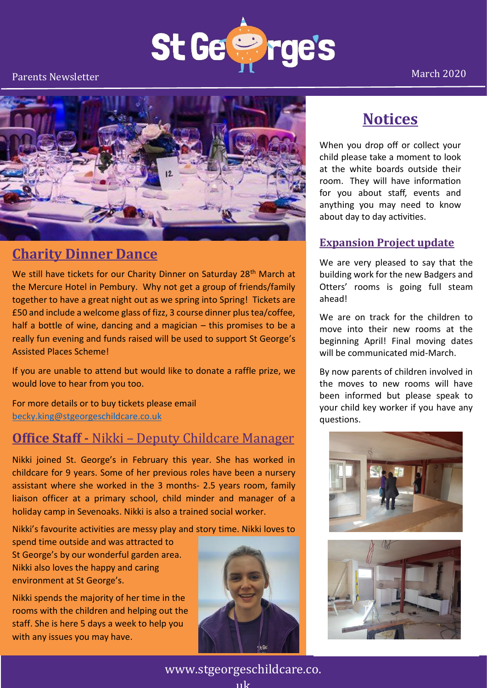



#### **Charity Dinner Dance**

We still have tickets for our Charity Dinner on Saturday 28<sup>th</sup> March at the Mercure Hotel in Pembury. Why not get a group of friends/family together to have a great night out as we spring into Spring! Tickets are £50 and include a welcome glass of fizz, 3 course dinner plus tea/coffee, half a bottle of wine, dancing and a magician – this promises to be a really fun evening and funds raised will be used to support St George's Assisted Places Scheme!

If you are unable to attend but would like to donate a raffle prize, we would love to hear from you too.

For more details or to buy tickets please email [becky.king@stgeorgeschildcare.co.uk](mailto:becky.king@stgeorgeschildcare.co.uk)

#### **Office Staff -** Nikki – Deputy Childcare Manager

Nikki joined St. George's in February this year. She has worked in childcare for 9 years. Some of her previous roles have been a nursery assistant where she worked in the 3 months- 2.5 years room, family liaison officer at a primary school, child minder and manager of a holiday camp in Sevenoaks. Nikki is also a trained social worker.

Nikki's favourite activities are messy play and story time. Nikki loves to

spend time outside and was attracted to St George's by our wonderful garden area. Nikki also loves the happy and caring environment at St George's.

Nikki spends the majority of her time in the rooms with the children and helping out the staff. She is here 5 days a week to help you with any issues you may have.



#### **Notices**

When you drop off or collect your child please take a moment to look at the white boards outside their room. They will have information for you about staff, events and anything you may need to know about day to day activities.

#### **Expansion Project update**

We are very pleased to say that the building work for the new Badgers and Otters' rooms is going full steam ahead!

We are on track for the children to move into their new rooms at the beginning April! Final moving dates will be communicated mid-March.

By now parents of children involved in the moves to new rooms will have been informed but please speak to your child key worker if you have any questions.





March 2020

www.stgeorgeschildcare.co. uk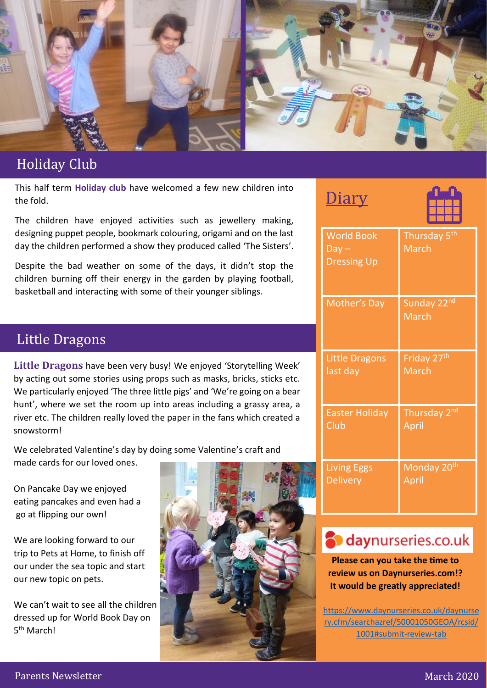

#### Holiday Holiday Club

This half term **Holiday club** have welcomed a few new children into the fold.

The children have enjoyed activities such as jewellery making, designing puppet people, bookmark colouring, origami and on the last day the children performed a show they produced called 'The Sisters'.

Despite the bad weather on some of the days, it didn't stop the children burning off their energy in the garden by playing football, basketball and interacting with some of their younger siblings.

#### Little Dragons

**Little Dragons** have been very busy! We enjoyed 'Storytelling Week' by acting out some stories using props such as masks, bricks, sticks etc. We particularly enjoyed 'The three little pigs' and 'We're going on a bear hunt', where we set the room up into areas including a grassy area, a river etc. The children really loved the paper in the fans which created a snowstorm!

We celebrated Valentine's day by doing some Valentine's craft and made cards for our loved ones.

On Pancake Day we enjoyed eating pancakes and even had a go at flipping our own!

We are looking forward to our trip to Pets at Home, to finish off our under the sea topic and start our new topic on pets.

We can't wait to see all the children dressed up for World Book Day on 5<sup>th</sup> March!



| <b>World Book</b><br>$Day -$<br><b>Dressing Up</b> | Thursday 5 <sup>th</sup><br><b>March</b> |
|----------------------------------------------------|------------------------------------------|
| <b>Mother's Day</b>                                | Sunday 22nd<br><b>March</b>              |
| <b>Little Dragons</b>                              | Friday 27 <sup>th</sup>                  |
| last day                                           | <b>March</b>                             |
| <b>Easter Holiday</b>                              | Thursday 2 <sup>nd</sup>                 |
| Club                                               | April                                    |
| <b>Living Eggs</b>                                 | Monday 20 <sup>th</sup>                  |
| <b>Delivery</b>                                    | April                                    |

# **S** daynurseries.co.uk

**Please can you take the time to review us on Daynurseries.com!? It would be greatly appreciated!**

[https://www.daynurseries.co.uk/daynurse](https://www.daynurseries.co.uk/daynursery.cfm/searchazref/50001050GEOA/rcsid/1001#submit-review-tab) [ry.cfm/searchazref/50001050GEOA/rcsid/](https://www.daynurseries.co.uk/daynursery.cfm/searchazref/50001050GEOA/rcsid/1001#submit-review-tab) [1001#submit-review-tab](https://www.daynurseries.co.uk/daynursery.cfm/searchazref/50001050GEOA/rcsid/1001#submit-review-tab)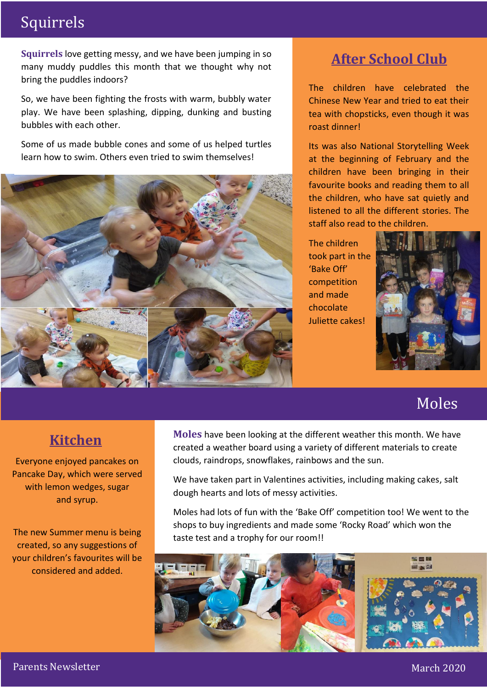## Squirrels

**Squirrels** love getting messy, and we have been jumping in so many muddy puddles this month that we thought why not bring the puddles indoors?

So, we have been fighting the frosts with warm, bubbly water play. We have been splashing, dipping, dunking and busting bubbles with each other.

Some of us made bubble cones and some of us helped turtles learn how to swim. Others even tried to swim themselves!



# **After School Club**

The children have celebrated the Chinese New Year and tried to eat their tea with chopsticks, even though it was roast dinner!

Its was also National Storytelling Week at the beginning of February and the children have been bringing in their favourite books and reading them to all the children, who have sat quietly and listened to all the different stories. The staff also read to the children.

The children took part in the 'Bake Off' competition and made chocolate Juliette cakes!



# Moles

#### **Kitchen**

Everyone enjoyed pancakes on Pancake Day, which were served with lemon wedges, sugar and syrup.

The new Summer menu is being created, so any suggestions of your children's favourites will be considered and added.

**Moles** have been looking at the different weather this month. We have created a weather board using a variety of different materials to create clouds, raindrops, snowflakes, rainbows and the sun.

We have taken part in Valentines activities, including making cakes, salt dough hearts and lots of messy activities.

Moles had lots of fun with the 'Bake Off' competition too! We went to the shops to buy ingredients and made some 'Rocky Road' which won the taste test and a trophy for our room!!